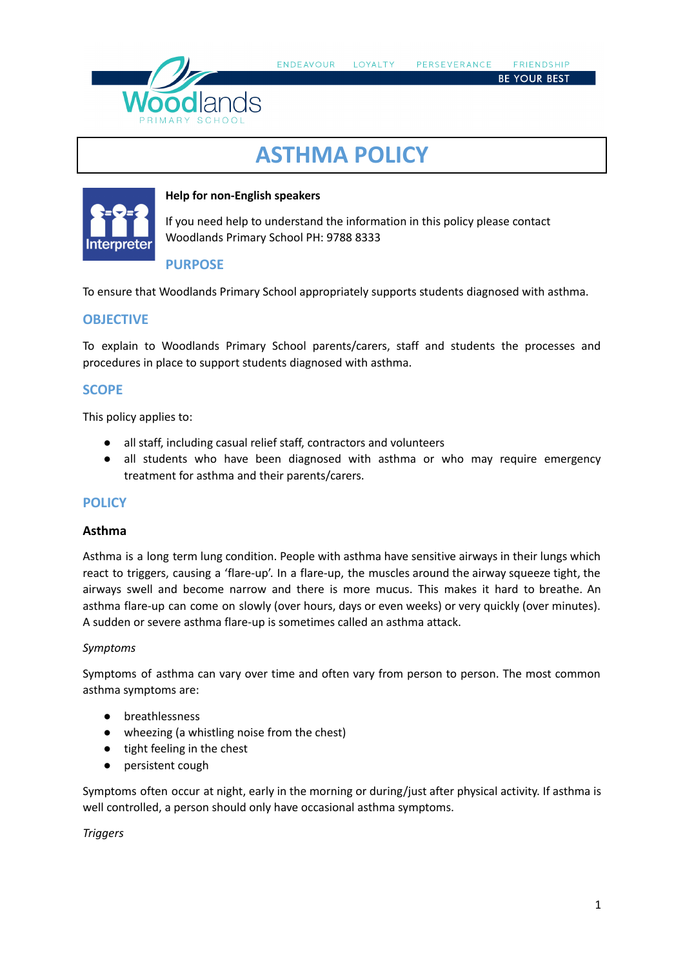

**BE YOUR BEST** 

# **ASTHMA POLICY**



### **Help for non-English speakers**

If you need help to understand the information in this policy please contact Woodlands Primary School PH: 9788 8333

## **PURPOSE**

To ensure that Woodlands Primary School appropriately supports students diagnosed with asthma.

#### **OBJECTIVE**

To explain to Woodlands Primary School parents/carers, staff and students the processes and procedures in place to support students diagnosed with asthma.

## **SCOPE**

This policy applies to:

- all staff, including casual relief staff, contractors and volunteers
- all students who have been diagnosed with asthma or who may require emergency treatment for asthma and their parents/carers.

## **POLICY**

#### **Asthma**

Asthma is a long term lung condition. People with asthma have sensitive airways in their lungs which react to triggers, causing a 'flare-up'. In a flare-up, the muscles around the airway squeeze tight, the airways swell and become narrow and there is more mucus. This makes it hard to breathe. An asthma flare-up can come on slowly (over hours, days or even weeks) or very quickly (over minutes). A sudden or severe asthma flare-up is sometimes called an asthma attack.

#### *Symptoms*

Symptoms of asthma can vary over time and often vary from person to person. The most common asthma symptoms are:

- breathlessness
- wheezing (a whistling noise from the chest)
- tight feeling in the chest
- persistent cough

Symptoms often occur at night, early in the morning or during/just after physical activity. If asthma is well controlled, a person should only have occasional asthma symptoms.

*Triggers*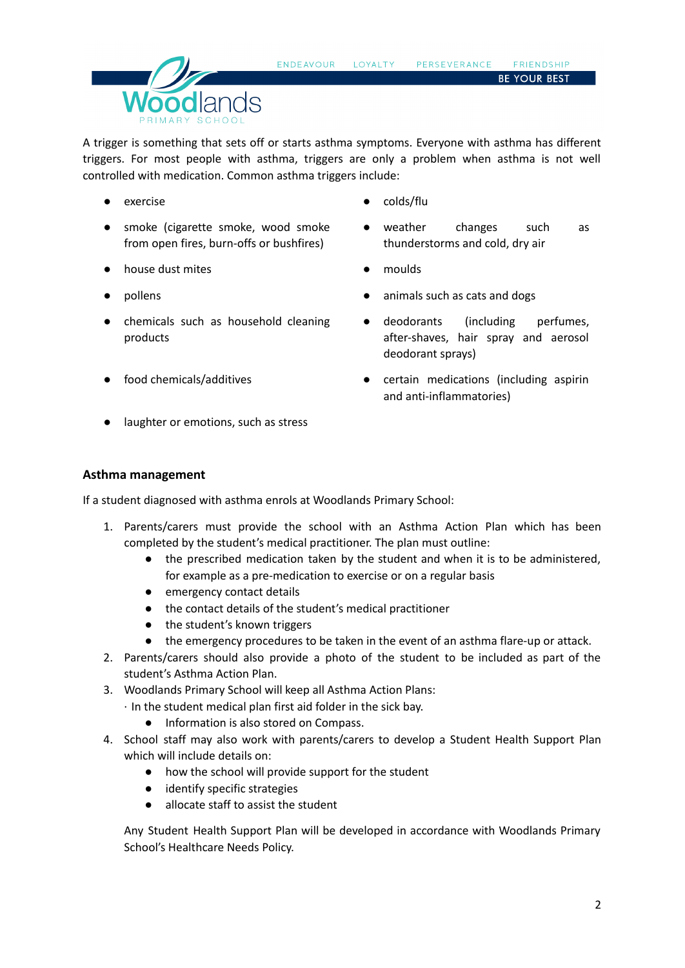

A trigger is something that sets off or starts asthma symptoms. Everyone with asthma has different triggers. For most people with asthma, triggers are only a problem when asthma is not well controlled with medication. Common asthma triggers include:

- exercise colds/flu
- smoke (cigarette smoke, wood smoke from open fires, burn-offs or bushfires)
- house dust mites moulds
- 
- chemicals such as household cleaning products
- 
- laughter or emotions, such as stress
- 
- weather changes such as thunderstorms and cold, dry air
- 
- pollens **being a pollens and**  $\bullet$  animals such as cats and dogs
	- deodorants (including perfumes, after-shaves, hair spray and aerosol deodorant sprays)
- food chemicals/additives **business and contained as including** aspiring the certain medications (including aspirin and anti-inflammatories)

#### **Asthma management**

If a student diagnosed with asthma enrols at Woodlands Primary School:

- 1. Parents/carers must provide the school with an Asthma Action Plan which has been completed by the student's medical practitioner. The plan must outline:
	- the prescribed medication taken by the student and when it is to be administered, for example as a pre-medication to exercise or on a regular basis
	- emergency contact details
	- the contact details of the student's medical practitioner
	- the student's known triggers
	- the emergency procedures to be taken in the event of an asthma flare-up or attack.
- 2. Parents/carers should also provide a photo of the student to be included as part of the student's Asthma Action Plan.
- 3. Woodlands Primary School will keep all Asthma Action Plans:
	- · In the student medical plan first aid folder in the sick bay.
		- Information is also stored on Compass.
- 4. School staff may also work with parents/carers to develop a Student Health Support Plan which will include details on:
	- how the school will provide support for the student
	- identify specific strategies
	- allocate staff to assist the student

Any Student Health Support Plan will be developed in accordance with Woodlands Primary School's Healthcare Needs Policy.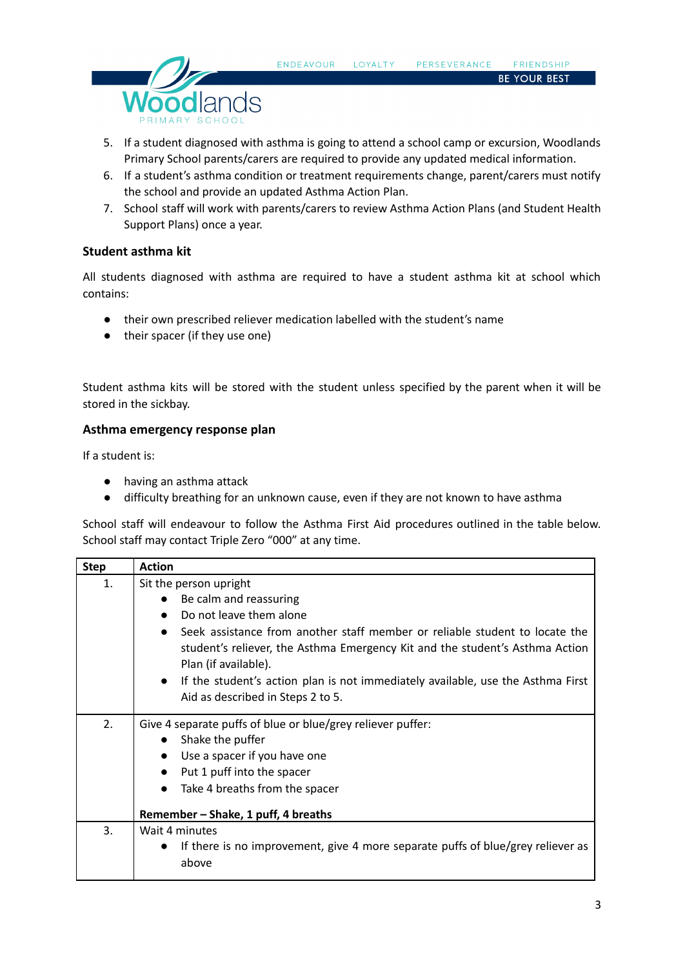

**BE YOUR BEST** 

- 5. If a student diagnosed with asthma is going to attend a school camp or excursion, Woodlands Primary School parents/carers are required to provide any updated medical information.
- 6. If a student's asthma condition or treatment requirements change, parent/carers must notify the school and provide an updated Asthma Action Plan.
- 7. School staff will work with parents/carers to review Asthma Action Plans (and Student Health Support Plans) once a year.

#### **Student asthma kit**

All students diagnosed with asthma are required to have a student asthma kit at school which contains:

- their own prescribed reliever medication labelled with the student's name
- their spacer (if they use one)

Student asthma kits will be stored with the student unless specified by the parent when it will be stored in the sickbay.

#### **Asthma emergency response plan**

If a student is:

- having an asthma attack
- difficulty breathing for an unknown cause, even if they are not known to have asthma

School staff will endeavour to follow the Asthma First Aid procedures outlined in the table below. School staff may contact Triple Zero "000" at any time.

| <b>Step</b> | <b>Action</b>                                                                                |  |  |  |  |
|-------------|----------------------------------------------------------------------------------------------|--|--|--|--|
| 1.          | Sit the person upright                                                                       |  |  |  |  |
|             | Be calm and reassuring<br>$\bullet$                                                          |  |  |  |  |
|             | Do not leave them alone                                                                      |  |  |  |  |
|             | Seek assistance from another staff member or reliable student to locate the<br>$\bullet$     |  |  |  |  |
|             | student's reliever, the Asthma Emergency Kit and the student's Asthma Action                 |  |  |  |  |
|             | Plan (if available).                                                                         |  |  |  |  |
|             | If the student's action plan is not immediately available, use the Asthma First<br>$\bullet$ |  |  |  |  |
|             | Aid as described in Steps 2 to 5.                                                            |  |  |  |  |
| 2.          | Give 4 separate puffs of blue or blue/grey reliever puffer:                                  |  |  |  |  |
|             | Shake the puffer<br>$\bullet$                                                                |  |  |  |  |
|             | Use a spacer if you have one<br>$\bullet$                                                    |  |  |  |  |
|             | Put 1 puff into the spacer<br>$\bullet$                                                      |  |  |  |  |
|             | Take 4 breaths from the spacer<br>$\bullet$                                                  |  |  |  |  |
|             | Remember – Shake, 1 puff, 4 breaths                                                          |  |  |  |  |
| 3.          | Wait 4 minutes                                                                               |  |  |  |  |
|             | If there is no improvement, give 4 more separate puffs of blue/grey reliever as<br>$\bullet$ |  |  |  |  |
|             | above                                                                                        |  |  |  |  |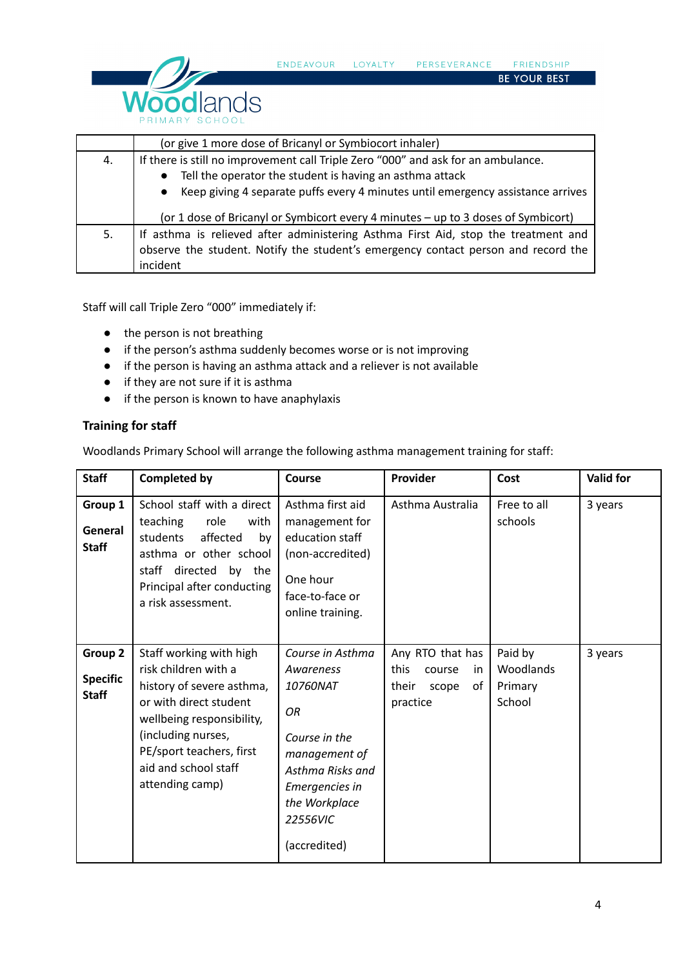

|    | (or give 1 more dose of Bricanyl or Symbiocort inhaler)                            |  |  |  |  |
|----|------------------------------------------------------------------------------------|--|--|--|--|
| 4. | If there is still no improvement call Triple Zero "000" and ask for an ambulance.  |  |  |  |  |
|    | Tell the operator the student is having an asthma attack                           |  |  |  |  |
|    | • Keep giving 4 separate puffs every 4 minutes until emergency assistance arrives  |  |  |  |  |
|    | (or 1 dose of Bricanyl or Symbicort every 4 minutes - up to 3 doses of Symbicort)  |  |  |  |  |
| 5. | If asthma is relieved after administering Asthma First Aid, stop the treatment and |  |  |  |  |
|    | observe the student. Notify the student's emergency contact person and record the  |  |  |  |  |
|    | incident                                                                           |  |  |  |  |

LOYALTY

PERSEVERANCE

FRIENDSHIP BE YOUR BEST

ENDEAVOUR

Staff will call Triple Zero "000" immediately if:

- the person is not breathing
- if the person's asthma suddenly becomes worse or is not improving
- if the person is having an asthma attack and a reliever is not available
- if they are not sure if it is asthma
- if the person is known to have anaphylaxis

## **Training for staff**

Woodlands Primary School will arrange the following asthma management training for staff:

| <b>Staff</b>                               | <b>Completed by</b>                                                                                                                                                                                                              | Course                                                                                                                                                               | Provider                                                                      | Cost                                      | <b>Valid for</b> |
|--------------------------------------------|----------------------------------------------------------------------------------------------------------------------------------------------------------------------------------------------------------------------------------|----------------------------------------------------------------------------------------------------------------------------------------------------------------------|-------------------------------------------------------------------------------|-------------------------------------------|------------------|
| Group 1<br>General<br><b>Staff</b>         | School staff with a direct<br>teaching<br>role<br>with<br>students<br>affected<br>by<br>asthma or other school<br>directed<br>staff<br>by the<br>Principal after conducting<br>a risk assessment.                                | Asthma first aid<br>management for<br>education staff<br>(non-accredited)<br>One hour<br>face-to-face or<br>online training.                                         | Asthma Australia                                                              | Free to all<br>schools                    | 3 years          |
| Group 2<br><b>Specific</b><br><b>Staff</b> | Staff working with high<br>risk children with a<br>history of severe asthma,<br>or with direct student<br>wellbeing responsibility,<br>(including nurses,<br>PE/sport teachers, first<br>aid and school staff<br>attending camp) | Course in Asthma<br>Awareness<br>10760NAT<br>OR<br>Course in the<br>management of<br>Asthma Risks and<br>Emergencies in<br>the Workplace<br>22556VIC<br>(accredited) | Any RTO that has<br>this<br>course<br>in.<br>οf<br>their<br>scope<br>practice | Paid by<br>Woodlands<br>Primary<br>School | 3 years          |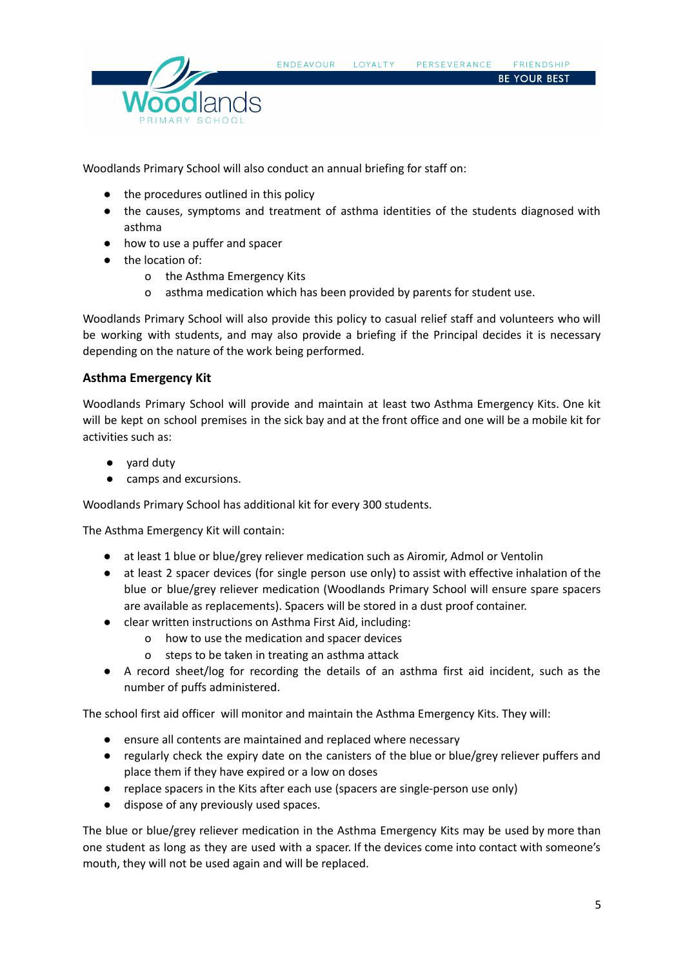

Woodlands Primary School will also conduct an annual briefing for staff on:

- the procedures outlined in this policy
- the causes, symptoms and treatment of asthma identities of the students diagnosed with asthma
- how to use a puffer and spacer
- the location of:
	- o the Asthma Emergency Kits
	- o asthma medication which has been provided by parents for student use.

Woodlands Primary School will also provide this policy to casual relief staff and volunteers who will be working with students, and may also provide a briefing if the Principal decides it is necessary depending on the nature of the work being performed.

#### **Asthma Emergency Kit**

Woodlands Primary School will provide and maintain at least two Asthma Emergency Kits. One kit will be kept on school premises in the sick bay and at the front office and one will be a mobile kit for activities such as:

- vard dutv
- camps and excursions.

Woodlands Primary School has additional kit for every 300 students.

The Asthma Emergency Kit will contain:

- at least 1 blue or blue/grey reliever medication such as Airomir, Admol or Ventolin
- at least 2 spacer devices (for single person use only) to assist with effective inhalation of the blue or blue/grey reliever medication (Woodlands Primary School will ensure spare spacers are available as replacements). Spacers will be stored in a dust proof container.
- clear written instructions on Asthma First Aid, including:
	- o how to use the medication and spacer devices
	- o steps to be taken in treating an asthma attack
- A record sheet/log for recording the details of an asthma first aid incident, such as the number of puffs administered.

The school first aid officer will monitor and maintain the Asthma Emergency Kits. They will:

- ensure all contents are maintained and replaced where necessary
- regularly check the expiry date on the canisters of the blue or blue/grey reliever puffers and place them if they have expired or a low on doses
- replace spacers in the Kits after each use (spacers are single-person use only)
- dispose of any previously used spaces.

The blue or blue/grey reliever medication in the Asthma Emergency Kits may be used by more than one student as long as they are used with a spacer. If the devices come into contact with someone's mouth, they will not be used again and will be replaced.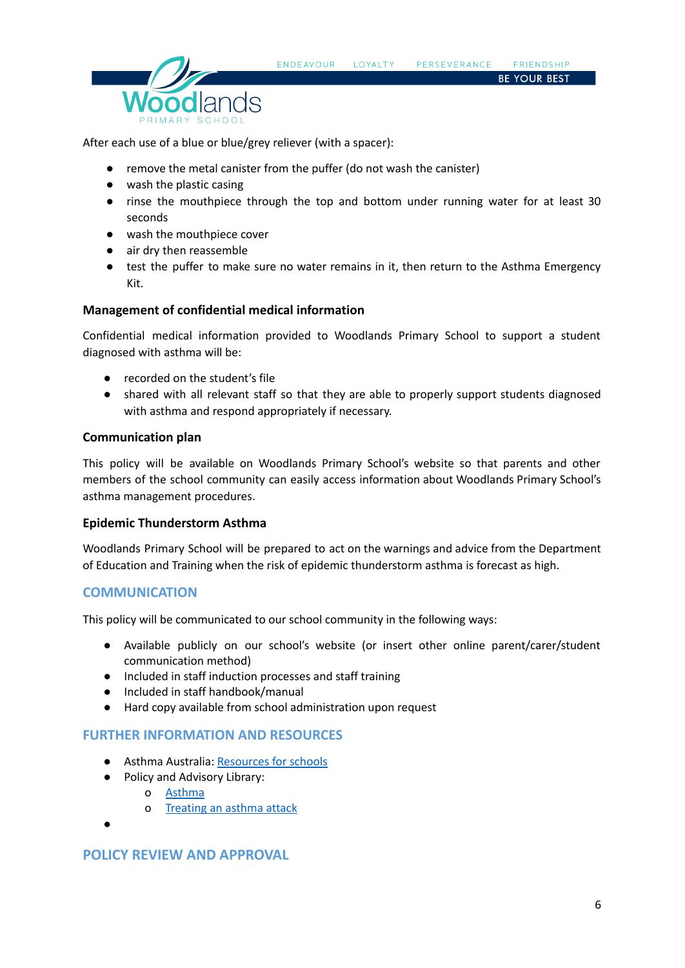

After each use of a blue or blue/grey reliever (with a spacer):

- remove the metal canister from the puffer (do not wash the canister)
- wash the plastic casing
- rinse the mouthpiece through the top and bottom under running water for at least 30 seconds
- wash the mouthpiece cover
- air dry then reassemble
- test the puffer to make sure no water remains in it, then return to the Asthma Emergency Kit.

#### **Management of confidential medical information**

Confidential medical information provided to Woodlands Primary School to support a student diagnosed with asthma will be:

- recorded on the student's file
- shared with all relevant staff so that they are able to properly support students diagnosed with asthma and respond appropriately if necessary.

#### **Communication plan**

This policy will be available on Woodlands Primary School's website so that parents and other members of the school community can easily access information about Woodlands Primary School's asthma management procedures.

#### **Epidemic Thunderstorm Asthma**

Woodlands Primary School will be prepared to act on the warnings and advice from the Department of Education and Training when the risk of epidemic thunderstorm asthma is forecast as high.

## **COMMUNICATION**

This policy will be communicated to our school community in the following ways:

- Available publicly on our school's website (or insert other online parent/carer/student communication method)
- Included in staff induction processes and staff training
- Included in staff handbook/manual
- Hard copy available from school administration upon request

## **FURTHER INFORMATION AND RESOURCES**

- Asthma Australia: [Resources](https://www.asthmaaustralia.org.au/vic/education-and-training/for-victorian-schools/victorian-schools-resources/school-resources) for schools
- **●** Policy and Advisory Library:
	- o [Asthma](https://www2.education.vic.gov.au/pal/asthma/policy)
	- o [Treating](https://www2.education.vic.gov.au/pal/asthma/guidance/treating-asthma-attack) an asthma attack
- **●**

# **POLICY REVIEW AND APPROVAL**